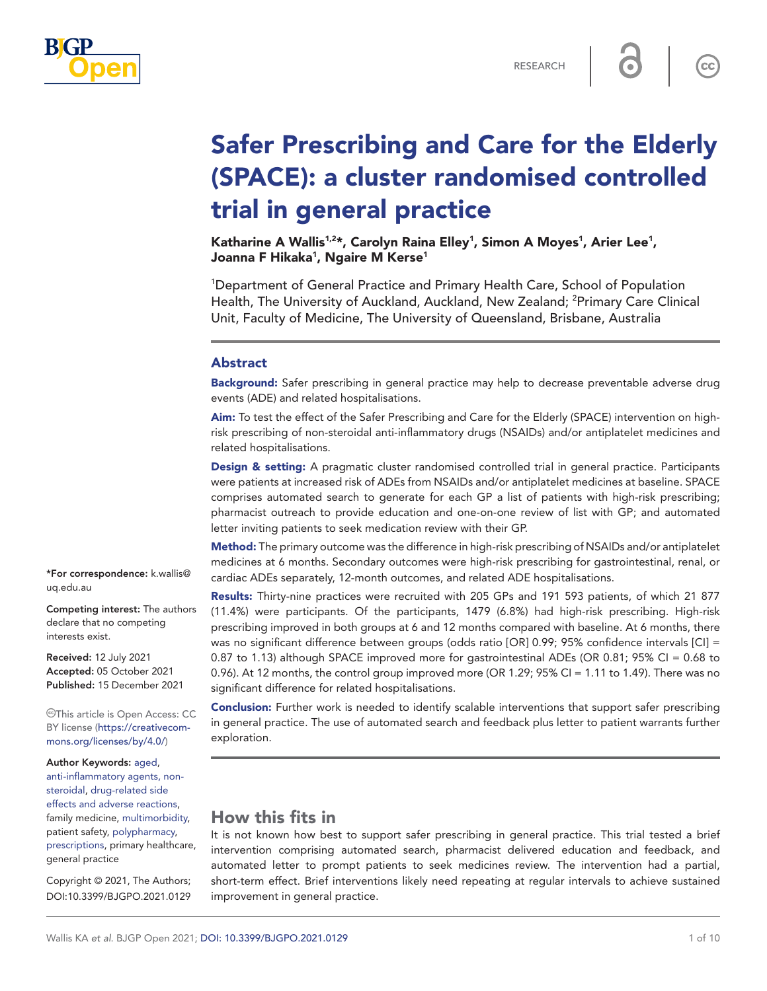

 $cc$ 

# Safer Prescribing and Care for the Elderly (SPACE): a cluster randomised controlled trial in general practice

Katharine A Wallis $1.2\star$ , Carolyn Raina Elley $^1$ , Simon A Moyes $^1$ , Arier Lee $^1$ , Joanna F Hikaka<sup>1</sup>, Ngaire M Kerse<sup>1</sup>

1 Department of General Practice and Primary Health Care, School of Population Health, The University of Auckland, Auckland, New Zealand; <sup>2</sup>Primary Care Clinical Unit, Faculty of Medicine, The University of Queensland, Brisbane, Australia

#### Abstract

**Background:** Safer prescribing in general practice may help to decrease preventable adverse drug events (ADE) and related hospitalisations.

Aim: To test the effect of the Safer Prescribing and Care for the Elderly (SPACE) intervention on highrisk prescribing of non-steroidal anti-inflammatory drugs (NSAIDs) and/or antiplatelet medicines and related hospitalisations.

Design & setting: A pragmatic cluster randomised controlled trial in general practice. Participants were patients at increased risk of ADEs from NSAIDs and/or antiplatelet medicines at baseline. SPACE comprises automated search to generate for each GP a list of patients with high-risk prescribing; pharmacist outreach to provide education and one-on-one review of list with GP; and automated letter inviting patients to seek medication review with their GP.

Method: The primary outcome was the difference in high-risk prescribing of NSAIDs and/or antiplatelet medicines at 6 months. Secondary outcomes were high-risk prescribing for gastrointestinal, renal, or cardiac ADEs separately, 12-month outcomes, and related ADE hospitalisations.

Results: Thirty-nine practices were recruited with 205 GPs and 191 593 patients, of which 21 877 (11.4%) were participants. Of the participants, 1479 (6.8%) had high-risk prescribing. High-risk prescribing improved in both groups at 6 and 12 months compared with baseline. At 6 months, there was no significant difference between groups (odds ratio [OR] 0.99; 95% confidence intervals [CI] = 0.87 to 1.13) although SPACE improved more for gastrointestinal ADEs (OR 0.81; 95% CI = 0.68 to 0.96). At 12 months, the control group improved more (OR 1.29; 95% CI = 1.11 to 1.49). There was no significant difference for related hospitalisations.

**Conclusion:** Further work is needed to identify scalable interventions that support safer prescribing in general practice. The use of automated search and feedback plus letter to patient warrants further exploration.

# How this fits in

It is not known how best to support safer prescribing in general practice. This trial tested a brief intervention comprising automated search, pharmacist delivered education and feedback, and automated letter to prompt patients to seek medicines review. The intervention had a partial, short-term effect. Brief interventions likely need repeating at regular intervals to achieve sustained improvement in general practice.

\*For correspondence: [k.wallis@](mailto:k.wallis@uq.edu.au) [uq.edu.au](mailto:k.wallis@uq.edu.au)

Competing interest: The authors declare that no competing interests exist.

Received: 12 July 2021 Accepted: 05 October 2021 Published: 15 December 2021

This article is Open Access: CC BY license [\(https://creativecom](https://creativecommons.org/licenses/by/4.0/)[mons.org/licenses/by/4.0/\)](https://creativecommons.org/licenses/by/4.0/)

Author Keywords: [aged,](https://meshb.nlm.nih.gov/record/ui?name=Aged) [anti-inflammatory agents, non](https://meshb.nlm.nih.gov/record/ui?name=Anti-Inflammatory%20Agents,%20Non-Steroidal)[steroidal,](https://meshb.nlm.nih.gov/record/ui?name=Anti-Inflammatory%20Agents,%20Non-Steroidal) [drug-related side](https://meshb.nlm.nih.gov/record/ui?name=Drug-Related%20Side%20Effects%20and%20Adverse%20Reactions)  [effects and adverse reactions,](https://meshb.nlm.nih.gov/record/ui?name=Drug-Related%20Side%20Effects%20and%20Adverse%20Reactions) family medicine, [multimorbidity,](https://meshb.nlm.nih.gov/record/ui?name=Multimorbidity) patient safety, [polypharmacy,](https://meshb.nlm.nih.gov/record/ui?name=Polypharmacy) [prescriptions](https://meshb.nlm.nih.gov/record/ui?name=Prescriptions), primary healthcare, general practice

Copyright © 2021, The Authors; DOI:10.3399/BJGPO.2021.0129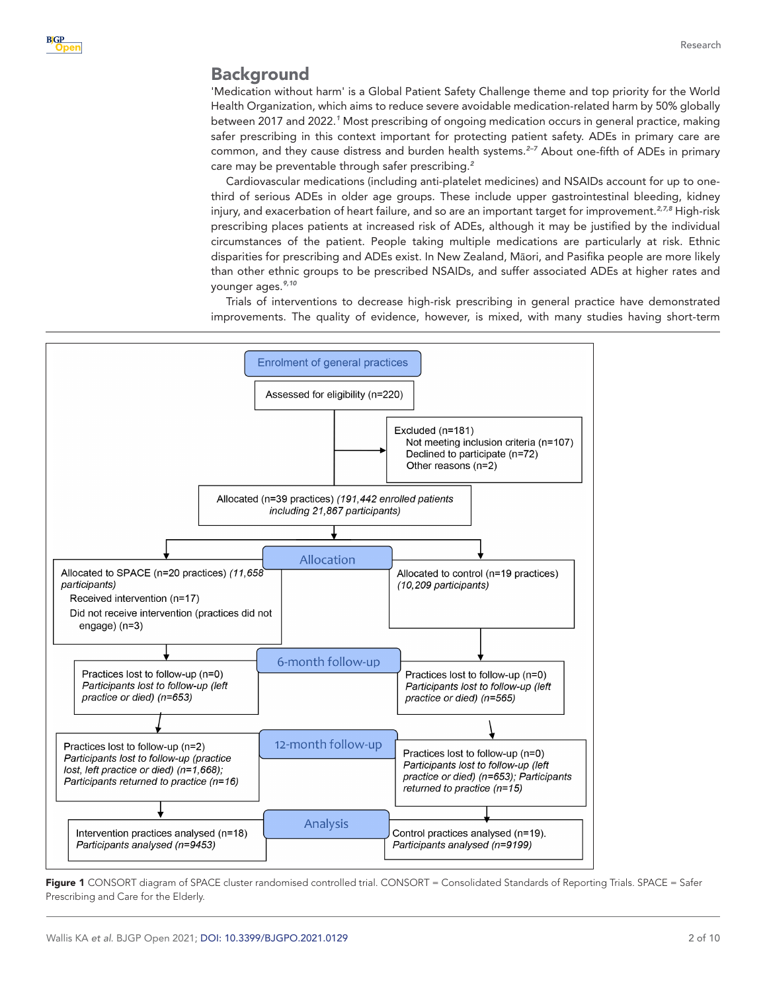## Background

'Medication without harm' is a Global Patient Safety Challenge theme and top priority for the World Health Organization, which aims to reduce severe avoidable medication-related harm by 50% globally between 2017 and 2022.*[1](#page-8-0)* Most prescribing of ongoing medication occurs in general practice, making safer prescribing in this context important for protecting patient safety. ADEs in primary care are common, and they cause distress and burden health systems.*[2–7](#page-8-1)* About one-fifth of ADEs in primary care may be preventable through safer prescribing.*[2](#page-8-1)*

Cardiovascular medications (including anti-platelet medicines) and NSAIDs account for up to onethird of serious ADEs in older age groups. These include upper gastrointestinal bleeding, kidney injury, and exacerbation of heart failure, and so are an important target for improvement.*[2,7,8](#page-8-1)* High-risk prescribing places patients at increased risk of ADEs, although it may be justified by the individual circumstances of the patient. People taking multiple medications are particularly at risk. Ethnic disparities for prescribing and ADEs exist. In New Zealand, Māori, and Pasifika people are more likely than other ethnic groups to be prescribed NSAIDs, and suffer associated ADEs at higher rates and younger ages.*[9,10](#page-8-2)*

Trials of interventions to decrease high-risk prescribing in general practice have demonstrated improvements. The quality of evidence, however, is mixed, with many studies having short-term



<span id="page-1-0"></span>Figure 1 CONSORT diagram of SPACE cluster randomised controlled trial. CONSORT = Consolidated Standards of Reporting Trials. SPACE = Safer Prescribing and Care for the Elderly.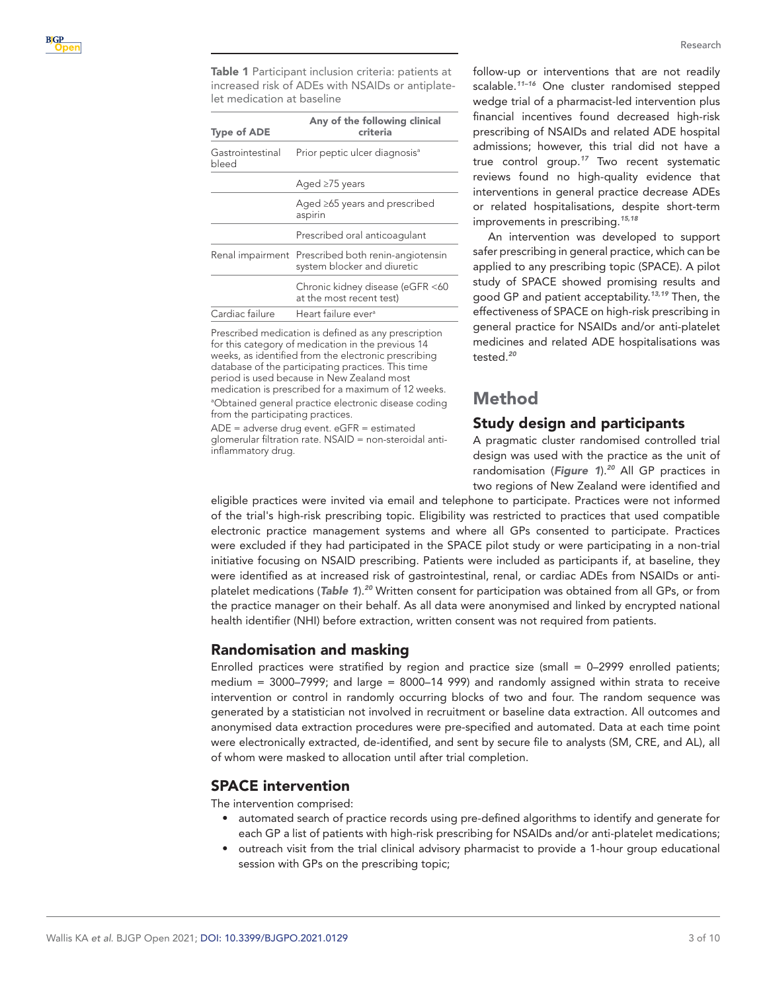<span id="page-2-0"></span>Table 1 Participant inclusion criteria: patients at increased risk of ADEs with NSAIDs or antiplatelet medication at baseline

| <b>Type of ADE</b>        | Any of the following clinical<br>criteria                        |
|---------------------------|------------------------------------------------------------------|
| Gastrointestinal<br>bleed | Prior peptic ulcer diagnosis <sup>a</sup>                        |
|                           | Aged $\geq$ 75 years                                             |
|                           | Aged $\geq$ 65 years and prescribed<br>aspirin                   |
|                           | Prescribed oral anticoagulant                                    |
| Renal impairment          | Prescribed both renin-angiotensin<br>system blocker and diuretic |
|                           | Chronic kidney disease (eGFR <60<br>at the most recent test)     |
| Cardiac failure           | Heart failure ever <sup>a</sup>                                  |
|                           |                                                                  |

Prescribed medication is defined as any prescription for this category of medication in the previous 14 weeks, as identified from the electronic prescribing database of the participating practices. This time period is used because in New Zealand most medication is prescribed for a maximum of 12 weeks. <sup>a</sup>Obtained general practice electronic disease coding from the participating practices.

ADE = adverse drug event. eGFR = estimated glomerular filtration rate. NSAID = non-steroidal antiinflammatory drug.

Research

follow-up or interventions that are not readily scalable.*[11–16](#page-8-3)* One cluster randomised stepped wedge trial of a pharmacist-led intervention plus financial incentives found decreased high-risk prescribing of NSAIDs and related ADE hospital admissions; however, this trial did not have a true control group.*[17](#page-9-0)* Two recent systematic reviews found no high-quality evidence that interventions in general practice decrease ADEs or related hospitalisations, despite short-term improvements in prescribing.*[15,18](#page-8-4)*

An intervention was developed to support safer prescribing in general practice, which can be applied to any prescribing topic (SPACE). A pilot study of SPACE showed promising results and good GP and patient acceptability.*[13,19](#page-8-5)* Then, the effectiveness of SPACE on high-risk prescribing in general practice for NSAIDs and/or anti-platelet medicines and related ADE hospitalisations was tested.*[20](#page-9-1)*

# Method

# Study design and participants

A pragmatic cluster randomised controlled trial design was used with the practice as the unit of randomisation (*[Figure 1](#page-1-0)*).*[20](#page-9-1)* All GP practices in two regions of New Zealand were identified and

eligible practices were invited via email and telephone to participate. Practices were not informed of the trial's high-risk prescribing topic. Eligibility was restricted to practices that used compatible electronic practice management systems and where all GPs consented to participate. Practices were excluded if they had participated in the SPACE pilot study or were participating in a non-trial initiative focusing on NSAID prescribing. Patients were included as participants if, at baseline, they were identified as at increased risk of gastrointestinal, renal, or cardiac ADEs from NSAIDs or antiplatelet medications (*[Table 1](#page-2-0)*).*[20](#page-9-1)* Written consent for participation was obtained from all GPs, or from the practice manager on their behalf. As all data were anonymised and linked by encrypted national health identifier (NHI) before extraction, written consent was not required from patients.

## Randomisation and masking

Enrolled practices were stratified by region and practice size (small = 0–2999 enrolled patients; medium = 3000–7999; and large = 8000–14 999) and randomly assigned within strata to receive intervention or control in randomly occurring blocks of two and four. The random sequence was generated by a statistician not involved in recruitment or baseline data extraction. All outcomes and anonymised data extraction procedures were pre-specified and automated. Data at each time point were electronically extracted, de-identified, and sent by secure file to analysts (SM, CRE, and AL), all of whom were masked to allocation until after trial completion.

## SPACE intervention

The intervention comprised:

- automated search of practice records using pre-defined algorithms to identify and generate for each GP a list of patients with high-risk prescribing for NSAIDs and/or anti-platelet medications;
- outreach visit from the trial clinical advisory pharmacist to provide a 1-hour group educational session with GPs on the prescribing topic;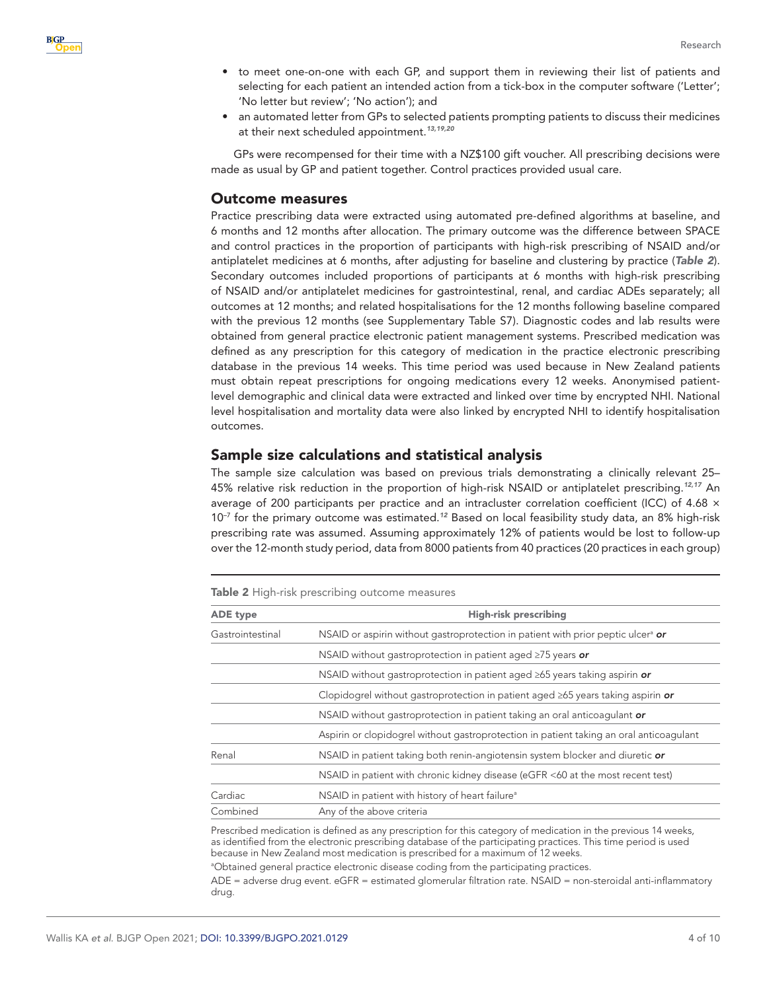- to meet one-on-one with each GP, and support them in reviewing their list of patients and selecting for each patient an intended action from a tick-box in the computer software ('Letter'; 'No letter but review'; 'No action'); and
- an automated letter from GPs to selected patients prompting patients to discuss their medicines at their next scheduled appointment.*[13,19,20](#page-8-5)*

GPs were recompensed for their time with a NZ\$100 gift voucher. All prescribing decisions were made as usual by GP and patient together. Control practices provided usual care.

## Outcome measures

Practice prescribing data were extracted using automated pre-defined algorithms at baseline, and 6 months and 12 months after allocation. The primary outcome was the difference between SPACE and control practices in the proportion of participants with high-risk prescribing of NSAID and/or antiplatelet medicines at 6 months, after adjusting for baseline and clustering by practice (*[Table 2](#page-3-0)*). Secondary outcomes included proportions of participants at 6 months with high-risk prescribing of NSAID and/or antiplatelet medicines for gastrointestinal, renal, and cardiac ADEs separately; all outcomes at 12 months; and related hospitalisations for the 12 months following baseline compared with the previous 12 months (see Supplementary Table S7). Diagnostic codes and lab results were obtained from general practice electronic patient management systems. Prescribed medication was defined as any prescription for this category of medication in the practice electronic prescribing database in the previous 14 weeks. This time period was used because in New Zealand patients must obtain repeat prescriptions for ongoing medications every 12 weeks. Anonymised patientlevel demographic and clinical data were extracted and linked over time by encrypted NHI. National level hospitalisation and mortality data were also linked by encrypted NHI to identify hospitalisation outcomes.

#### Sample size calculations and statistical analysis

The sample size calculation was based on previous trials demonstrating a clinically relevant 25– 45% relative risk reduction in the proportion of high-risk NSAID or antiplatelet prescribing.*[12,17](#page-8-6)* An average of 200 participants per practice and an intracluster correlation coefficient (ICC) of 4.68 × 10–7 for the primary outcome was estimated.*[12](#page-8-6)* Based on local feasibility study data, an 8% high-risk prescribing rate was assumed. Assuming approximately 12% of patients would be lost to follow-up over the 12-month study period, data from 8000 patients from 40 practices (20 practices in each group)

<span id="page-3-0"></span>Table 2 High-risk prescribing outcome measures

| ADE type         | <b>High-risk prescribing</b>                                                                 |
|------------------|----------------------------------------------------------------------------------------------|
| Gastrointestinal | NSAID or aspirin without gastroprotection in patient with prior peptic ulcer <sup>a</sup> or |
|                  | NSAID without gastroprotection in patient aged $\geq$ 75 years or                            |
|                  | NSAID without gastroprotection in patient aged $\geq 65$ years taking aspirin or             |
|                  | Clopidogrel without gastroprotection in patient aged $\geq 65$ years taking aspirin or       |
|                  | NSAID without gastroprotection in patient taking an oral anticoagulant or                    |
|                  | Aspirin or clopidogrel without gastroprotection in patient taking an oral anticoagulant      |
| Renal            | NSAID in patient taking both renin-angiotensin system blocker and diuretic or                |
|                  | NSAID in patient with chronic kidney disease (eGFR <60 at the most recent test)              |
| Cardiac          | NSAID in patient with history of heart failure <sup>a</sup>                                  |
| Combined         | Any of the above criteria                                                                    |

Prescribed medication is defined as any prescription for this category of medication in the previous 14 weeks, as identified from the electronic prescribing database of the participating practices. This time period is used because in New Zealand most medication is prescribed for a maximum of 12 weeks.

<sup>a</sup>Obtained general practice electronic disease coding from the participating practices.

ADE = adverse drug event. eGFR = estimated glomerular filtration rate. NSAID = non-steroidal anti-inflammatory drug.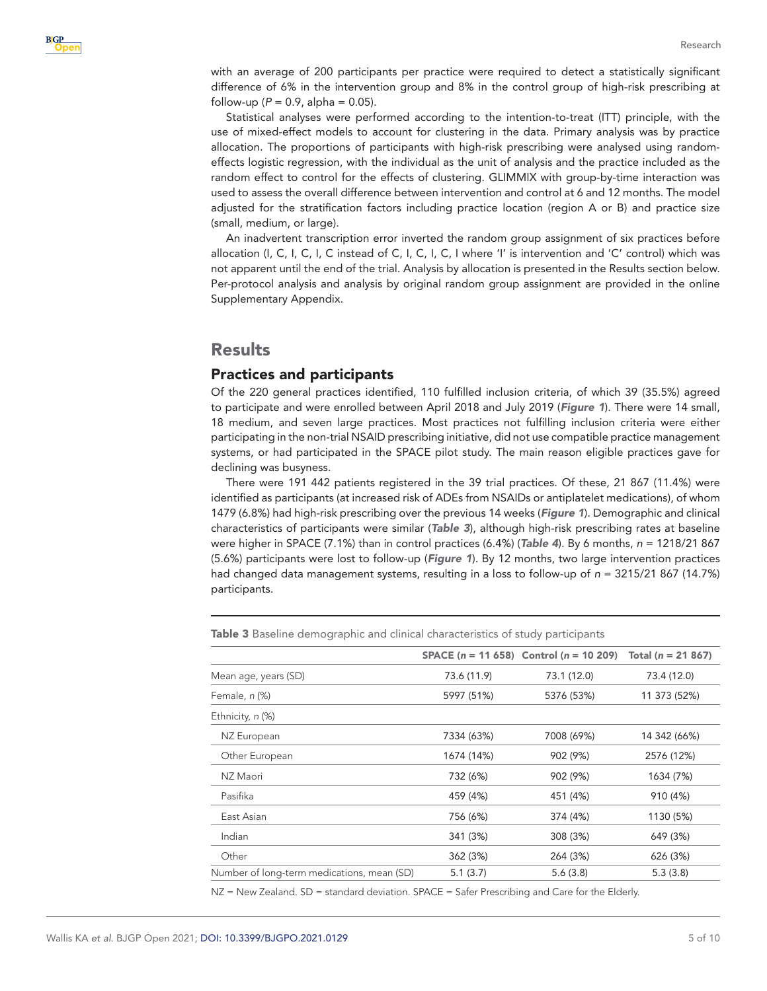with an average of 200 participants per practice were required to detect a statistically significant difference of 6% in the intervention group and 8% in the control group of high-risk prescribing at follow-up ( $P = 0.9$ , alpha = 0.05).

Statistical analyses were performed according to the intention-to-treat (ITT) principle, with the use of mixed-effect models to account for clustering in the data. Primary analysis was by practice allocation. The proportions of participants with high-risk prescribing were analysed using randomeffects logistic regression, with the individual as the unit of analysis and the practice included as the random effect to control for the effects of clustering. GLIMMIX with group-by-time interaction was used to assess the overall difference between intervention and control at 6 and 12 months. The model adjusted for the stratification factors including practice location (region A or B) and practice size (small, medium, or large).

An inadvertent transcription error inverted the random group assignment of six practices before allocation (I, C, I, C, I, C instead of C, I, C, I, C, I where 'I' is intervention and 'C' control) which was not apparent until the end of the trial. Analysis by allocation is presented in the Results section below. Per-protocol analysis and analysis by original random group assignment are provided in the online Supplementary Appendix.

## Results

## Practices and participants

Of the 220 general practices identified, 110 fulfilled inclusion criteria, of which 39 (35.5%) agreed to participate and were enrolled between April 2018 and July 2019 (*[Figure 1](#page-1-0)*). There were 14 small, 18 medium, and seven large practices. Most practices not fulfilling inclusion criteria were either participating in the non-trial NSAID prescribing initiative, did not use compatible practice management systems, or had participated in the SPACE pilot study. The main reason eligible practices gave for declining was busyness.

There were 191 442 patients registered in the 39 trial practices. Of these, 21 867 (11.4%) were identified as participants (at increased risk of ADEs from NSAIDs or antiplatelet medications), of whom 1479 (6.8%) had high-risk prescribing over the previous 14 weeks (*[Figure 1](#page-1-0)*). Demographic and clinical characteristics of participants were similar (*[Table 3](#page-4-0)*), although high-risk prescribing rates at baseline were higher in SPACE (7.1%) than in control practices (6.4%) (*[Table 4](#page-5-0)*). By 6 months, *n* = 1218/21 867 (5.6%) participants were lost to follow-up (*[Figure 1](#page-1-0)*). By 12 months, two large intervention practices had changed data management systems, resulting in a loss to follow-up of *n* = 3215/21 867 (14.7%) participants.

|                                            |             | SPACE $(n = 11 658)$ Control $(n = 10 209)$ | Total ( $n = 21,867$ ) |
|--------------------------------------------|-------------|---------------------------------------------|------------------------|
| Mean age, years (SD)                       | 73.6 (11.9) | 73.1 (12.0)                                 | 73.4 (12.0)            |
| Female, <i>n</i> (%)                       | 5997 (51%)  | 5376 (53%)                                  | 11 373 (52%)           |
| Ethnicity, n (%)                           |             |                                             |                        |
| NZ European                                | 7334 (63%)  | 7008 (69%)                                  | 14 342 (66%)           |
| Other European                             | 1674 (14%)  | 902 (9%)                                    | 2576 (12%)             |
| NZ Maori                                   | 732 (6%)    | 902 (9%)                                    | 1634 (7%)              |
| Pasifika                                   | 459 (4%)    | 451 (4%)                                    | 910 (4%)               |
| East Asian                                 | 756 (6%)    | 374 (4%)                                    | 1130 (5%)              |
| Indian                                     | 341 (3%)    | 308 (3%)                                    | 649 (3%)               |
| Other                                      | 362 (3%)    | 264 (3%)                                    | 626 (3%)               |
| Number of long-term medications, mean (SD) | 5.1(3.7)    | 5.6(3.8)                                    | 5.3(3.8)               |
|                                            |             |                                             |                        |

<span id="page-4-0"></span>Table 3 Baseline demographic and clinical characteristics of study participants

NZ = New Zealand. SD = standard deviation. SPACE = Safer Prescribing and Care for the Elderly.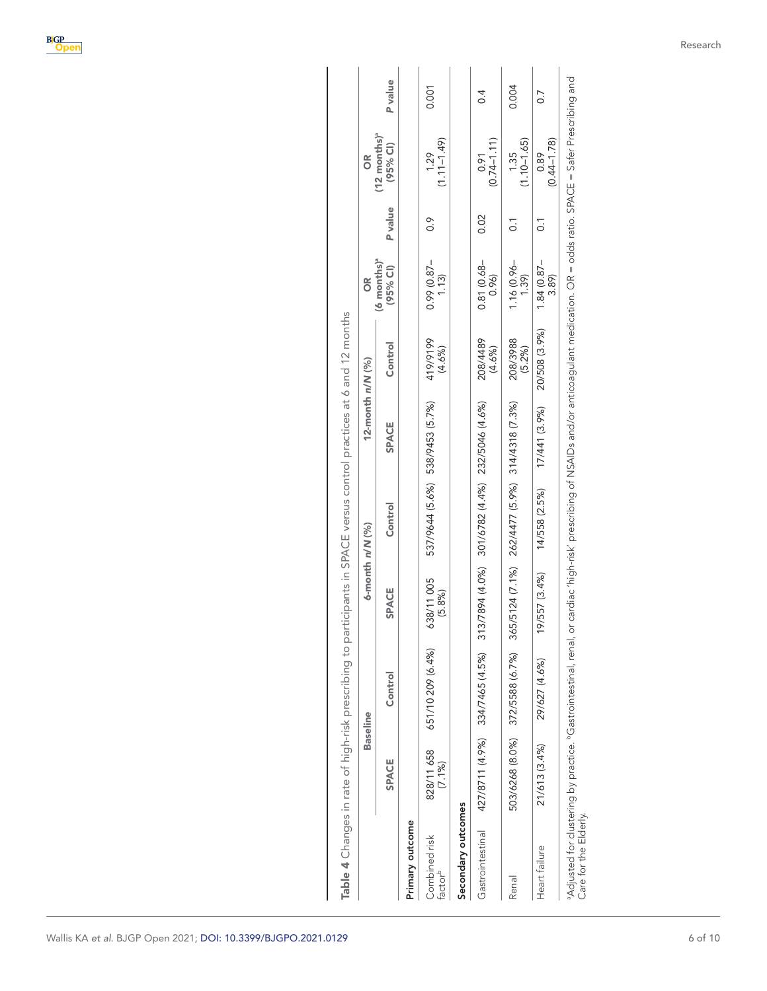<span id="page-5-0"></span>

|                                      |                         | <b>Baseline</b>                 |                      | 6-month n/N (%)                                 | 12-month n/N (%)                |                    | õ                               |                | õ                             |          |
|--------------------------------------|-------------------------|---------------------------------|----------------------|-------------------------------------------------|---------------------------------|--------------------|---------------------------------|----------------|-------------------------------|----------|
|                                      | SPACE                   | Control                         | <b>SPACE</b>         | Control                                         | SPACE                           | Control            | $(6$ months $)^a$<br>$(95%$ CI) | P value        | $(12$ months) $a$<br>(95% CI) | P value  |
| Primary outcome                      |                         |                                 |                      |                                                 |                                 |                    |                                 |                |                               |          |
| Combined risk<br>factor <sup>b</sup> | 828/11 658<br>$(7.1\%)$ | 651/10 209 (6.4%)               | 638/11 005<br>(5.8%) |                                                 | 537/9644 (5.6%) 538/9453 (5.7%) | 419/9199<br>(4.6%) | $0.99(0.87 -$<br>1.13           | $\frac{6}{1}$  | $(1.11 - 1.49)$<br>1.29       | 0.001    |
| Secondary outcomes                   |                         |                                 |                      |                                                 |                                 |                    |                                 |                |                               |          |
| Gastrointestinal                     |                         | 427/8711 (4.9%) 334/7465 (4.5%) |                      | 313/7894 (4.0%) 301/6782 (4.4%) 232/5046 (4.6%) |                                 | 208/4489<br>(4.6%) | $0.81(0.68 -$<br>0.96           | 0.02           | $(0.74 - 1.11)$<br>0.91       | $\sim 4$ |
| Renal                                |                         | 503/6268 (8.0%) 372/5588 (6.7%) |                      | 365/5124 (7.1%) 262/4477 (5.9%) 314/4318 (7.3%) |                                 | 208/3988<br>(5.2%) | $1.16(0.96 -$<br>1.39           | $\overline{c}$ | $(1.10 - 1.65)$<br>1.35       | 0.004    |
| Heart failure                        | 21/613 (3.4%)           | 29/627 (4.6%)                   | 19/557 (3.4%)        | 14/558 (2.5%)                                   | 17/441 (3.9%)                   | 20/508 (3.9%)      | $1.84(0.87 -$<br>3.89)          | $\overline{0}$ | $(0.44 - 1.78)$<br>0.89       | 0.7      |

Research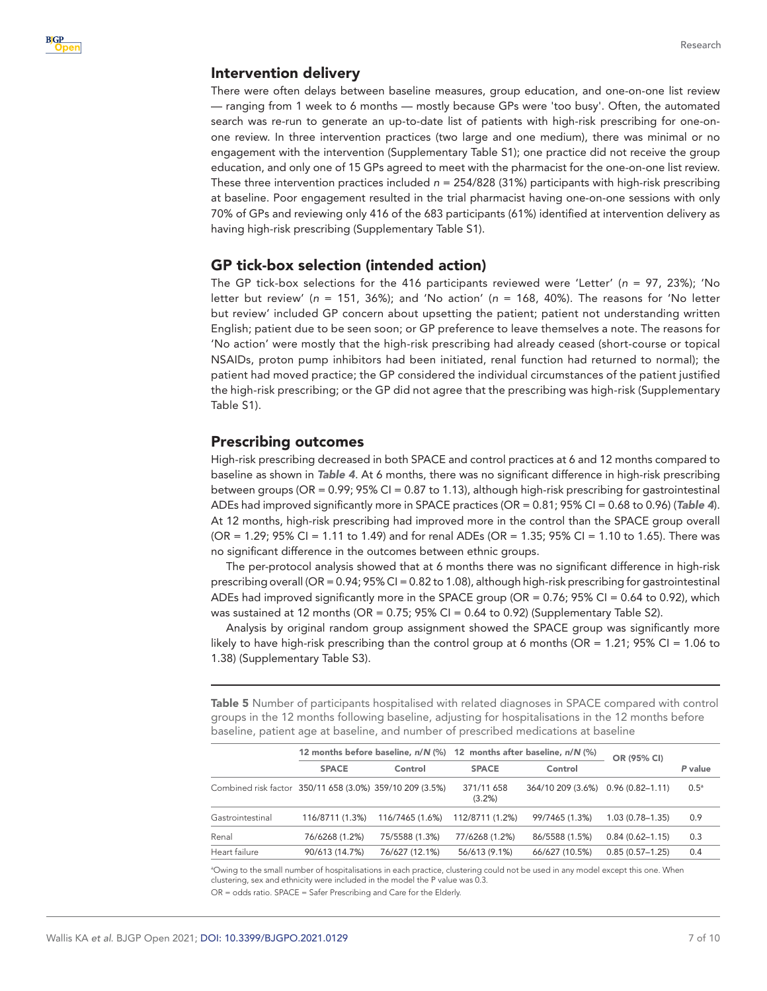#### Intervention delivery

There were often delays between baseline measures, group education, and one-on-one list review — ranging from 1 week to 6 months — mostly because GPs were 'too busy'. Often, the automated search was re-run to generate an up-to-date list of patients with high-risk prescribing for one-onone review. In three intervention practices (two large and one medium), there was minimal or no engagement with the intervention (Supplementary Table S1); one practice did not receive the group education, and only one of 15 GPs agreed to meet with the pharmacist for the one-on-one list review. These three intervention practices included *n* = 254/828 (31%) participants with high-risk prescribing at baseline. Poor engagement resulted in the trial pharmacist having one-on-one sessions with only 70% of GPs and reviewing only 416 of the 683 participants (61%) identified at intervention delivery as having high-risk prescribing (Supplementary Table S1).

## GP tick-box selection (intended action)

The GP tick-box selections for the 416 participants reviewed were 'Letter' (*n* = 97, 23%); 'No letter but review' (*n* = 151, 36%); and 'No action' (*n* = 168, 40%). The reasons for 'No letter but review' included GP concern about upsetting the patient; patient not understanding written English; patient due to be seen soon; or GP preference to leave themselves a note. The reasons for 'No action' were mostly that the high-risk prescribing had already ceased (short-course or topical NSAIDs, proton pump inhibitors had been initiated, renal function had returned to normal); the patient had moved practice; the GP considered the individual circumstances of the patient justified the high-risk prescribing; or the GP did not agree that the prescribing was high-risk (Supplementary Table S1).

#### Prescribing outcomes

High-risk prescribing decreased in both SPACE and control practices at 6 and 12 months compared to baseline as shown in *[Table 4](#page-5-0)*. At 6 months, there was no significant difference in high-risk prescribing between groups (OR = 0.99; 95% CI = 0.87 to 1.13), although high-risk prescribing for gastrointestinal ADEs had improved significantly more in SPACE practices (OR = 0.81; 95% CI = 0.68 to 0.96) (*[Table 4](#page-5-0)*). At 12 months, high-risk prescribing had improved more in the control than the SPACE group overall (OR = 1.29; 95% CI = 1.11 to 1.49) and for renal ADEs (OR = 1.35; 95% CI = 1.10 to 1.65). There was no significant difference in the outcomes between ethnic groups.

The per-protocol analysis showed that at 6 months there was no significant difference in high-risk prescribing overall (OR = 0.94; 95% CI = 0.82 to 1.08), although high-risk prescribing for gastrointestinal ADEs had improved significantly more in the SPACE group (OR = 0.76; 95% CI = 0.64 to 0.92), which was sustained at 12 months (OR =  $0.75$ ;  $95\%$  CI =  $0.64$  to 0.92) (Supplementary Table S2).

Analysis by original random group assignment showed the SPACE group was significantly more likely to have high-risk prescribing than the control group at 6 months ( $OR = 1.21$ ; 95% CI = 1.06 to 1.38) (Supplementary Table S3).

<span id="page-6-0"></span>Table 5 Number of participants hospitalised with related diagnoses in SPACE compared with control groups in the 12 months following baseline, adjusting for hospitalisations in the 12 months before baseline, patient age at baseline, and number of prescribed medications at baseline

|                                                          |                 |                 |                         | 12 months before baseline, n/N (%) 12 months after baseline, n/N (%) |                     |               |
|----------------------------------------------------------|-----------------|-----------------|-------------------------|----------------------------------------------------------------------|---------------------|---------------|
|                                                          | <b>SPACE</b>    | Control         | <b>SPACE</b>            | Control                                                              | OR (95% CI)         | P value       |
| Combined risk factor 350/11 658 (3.0%) 359/10 209 (3.5%) |                 |                 | 371/11 658<br>$(3.2\%)$ | 364/10 209 (3.6%)                                                    | $0.96(0.82 - 1.11)$ | $0.5^{\circ}$ |
| Gastrointestinal                                         | 116/8711 (1.3%) | 116/7465 (1.6%) | 112/8711 (1.2%)         | 99/7465 (1.3%)                                                       | $1.03(0.78 - 1.35)$ | 0.9           |
| Renal                                                    | 76/6268 (1.2%)  | 75/5588 (1.3%)  | 77/6268 (1.2%)          | 86/5588 (1.5%)                                                       | $0.84(0.62 - 1.15)$ | 0.3           |
| Heart failure                                            | 90/613 (14.7%)  | 76/627 (12.1%)  | 56/613 (9.1%)           | 66/627 (10.5%)                                                       | $0.85(0.57 - 1.25)$ | 0.4           |

a Owing to the small number of hospitalisations in each practice, clustering could not be used in any model except this one. When clustering, sex and ethnicity were included in the model the P value was 0.3.

OR = odds ratio. SPACE = Safer Prescribing and Care for the Elderly.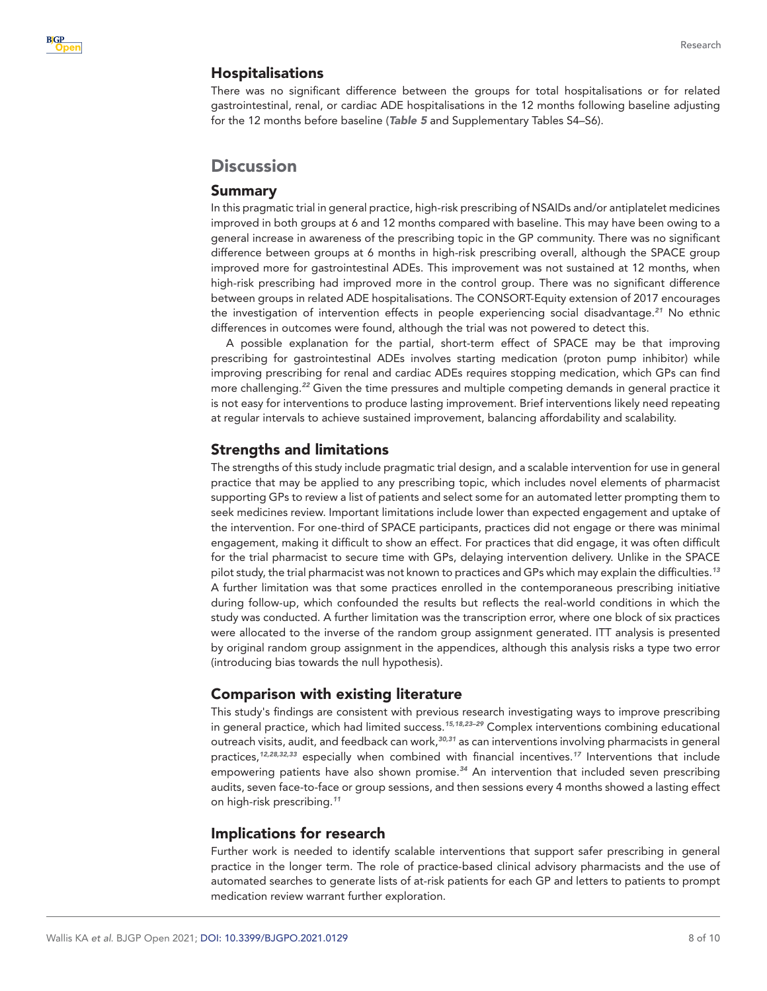#### Hospitalisations

There was no significant difference between the groups for total hospitalisations or for related gastrointestinal, renal, or cardiac ADE hospitalisations in the 12 months following baseline adjusting for the 12 months before baseline (*[Table 5](#page-6-0)* and Supplementary Tables S4–S6).

## **Discussion**

#### Summary

In this pragmatic trial in general practice, high-risk prescribing of NSAIDs and/or antiplatelet medicines improved in both groups at 6 and 12 months compared with baseline. This may have been owing to a general increase in awareness of the prescribing topic in the GP community. There was no significant difference between groups at 6 months in high-risk prescribing overall, although the SPACE group improved more for gastrointestinal ADEs. This improvement was not sustained at 12 months, when high-risk prescribing had improved more in the control group. There was no significant difference between groups in related ADE hospitalisations. The CONSORT-Equity extension of 2017 encourages the investigation of intervention effects in people experiencing social disadvantage.*[21](#page-9-2)* No ethnic differences in outcomes were found, although the trial was not powered to detect this.

A possible explanation for the partial, short-term effect of SPACE may be that improving prescribing for gastrointestinal ADEs involves starting medication (proton pump inhibitor) while improving prescribing for renal and cardiac ADEs requires stopping medication, which GPs can find more challenging.*[22](#page-9-3)* Given the time pressures and multiple competing demands in general practice it is not easy for interventions to produce lasting improvement. Brief interventions likely need repeating at regular intervals to achieve sustained improvement, balancing affordability and scalability.

## Strengths and limitations

The strengths of this study include pragmatic trial design, and a scalable intervention for use in general practice that may be applied to any prescribing topic, which includes novel elements of pharmacist supporting GPs to review a list of patients and select some for an automated letter prompting them to seek medicines review. Important limitations include lower than expected engagement and uptake of the intervention. For one-third of SPACE participants, practices did not engage or there was minimal engagement, making it difficult to show an effect. For practices that did engage, it was often difficult for the trial pharmacist to secure time with GPs, delaying intervention delivery. Unlike in the SPACE pilot study, the trial pharmacist was not known to practices and GPs which may explain the difficulties.*[13](#page-8-5)* A further limitation was that some practices enrolled in the contemporaneous prescribing initiative during follow-up, which confounded the results but reflects the real-world conditions in which the study was conducted. A further limitation was the transcription error, where one block of six practices were allocated to the inverse of the random group assignment generated. ITT analysis is presented by original random group assignment in the appendices, although this analysis risks a type two error (introducing bias towards the null hypothesis).

## Comparison with existing literature

This study's findings are consistent with previous research investigating ways to improve prescribing in general practice, which had limited success.*[15,18,23–29](#page-8-4)* Complex interventions combining educational outreach visits, audit, and feedback can work,*[30,31](#page-9-4)* as can interventions involving pharmacists in general practices,*[12,28,32,33](#page-8-6)* especially when combined with financial incentives.*[17](#page-9-0)* Interventions that include empowering patients have also shown promise.*[34](#page-9-5)* An intervention that included seven prescribing audits, seven face-to-face or group sessions, and then sessions every 4 months showed a lasting effect on high-risk prescribing.*[11](#page-8-3)*

## Implications for research

Further work is needed to identify scalable interventions that support safer prescribing in general practice in the longer term. The role of practice-based clinical advisory pharmacists and the use of automated searches to generate lists of at-risk patients for each GP and letters to patients to prompt medication review warrant further exploration.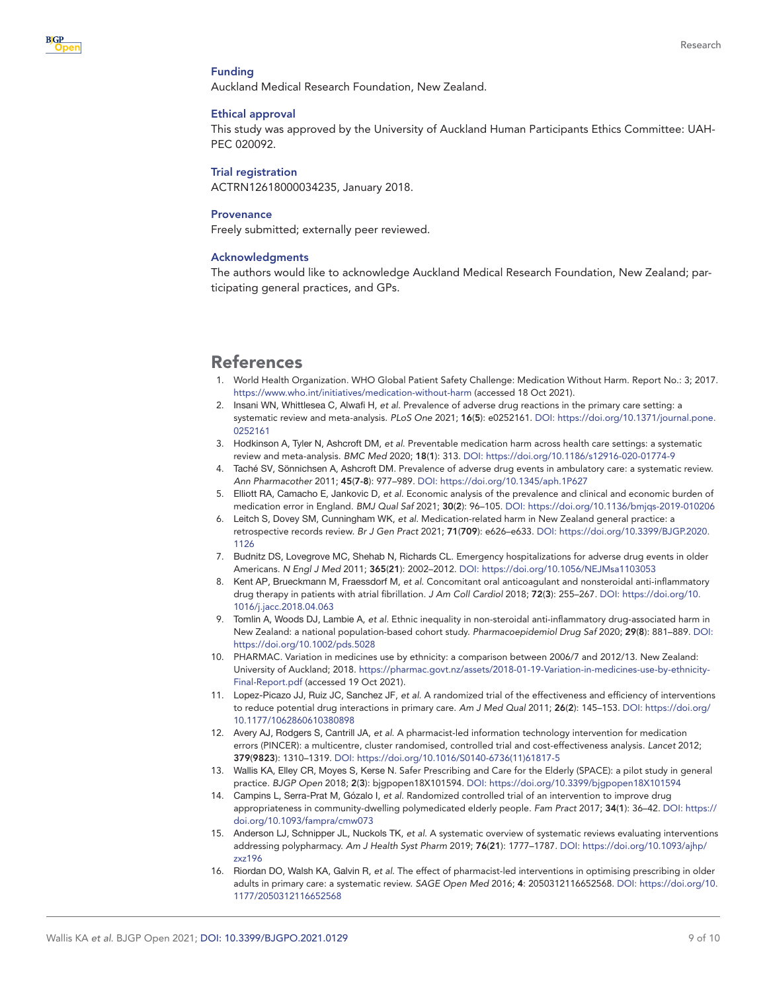#### Funding

Auckland Medical Research Foundation, New Zealand.

#### Ethical approval

This study was approved by the University of Auckland Human Participants Ethics Committee: UAH-PEC 020092.

#### Trial registration

ACTRN12618000034235, January 2018.

#### **Provenance**

Freely submitted; externally peer reviewed.

#### Acknowledgments

The authors would like to acknowledge Auckland Medical Research Foundation, New Zealand; participating general practices, and GPs.

# References

- <span id="page-8-0"></span>1. World Health Organization. WHO Global Patient Safety Challenge: Medication Without Harm. Report No.: 3; 2017. <https://www.who.int/initiatives/medication-without-harm>(accessed 18 Oct 2021).
- <span id="page-8-1"></span>2. Insani WN, Whittlesea C, Alwafi H, *et al*. Prevalence of adverse drug reactions in the primary care setting: a systematic review and meta-analysis. *PLoS One* 2021; 16(5): e0252161. DOI: [https://doi.org/10.1371/journal.pone.](https://doi.org/10.1371/journal.pone.0252161) [0252161](https://doi.org/10.1371/journal.pone.0252161)
- 3. Hodkinson A, Tyler N, Ashcroft DM, *et al*. Preventable medication harm across health care settings: a systematic review and meta-analysis. *BMC Med* 2020; 18(1): 313. DOI:<https://doi.org/10.1186/s12916-020-01774-9>
- 4. Taché SV, Sönnichsen A, Ashcroft DM. Prevalence of adverse drug events in ambulatory care: a systematic review. *Ann Pharmacother* 2011; 45(7-8): 977–989. DOI: <https://doi.org/10.1345/aph.1P627>
- 5. Elliott RA, Camacho E, Jankovic D, *et al*. Economic analysis of the prevalence and clinical and economic burden of medication error in England. *BMJ Qual Saf* 2021; 30(2): 96–105. DOI: <https://doi.org/10.1136/bmjqs-2019-010206>
- 6. Leitch S, Dovey SM, Cunningham WK, *et al*. Medication-related harm in New Zealand general practice: a retrospective records review. *Br J Gen Pract* 2021; 71(709): e626–e633. DOI: [https://doi.org/10.3399/BJGP.2020.](https://doi.org/10.3399/BJGP.2020.1126) [1126](https://doi.org/10.3399/BJGP.2020.1126)
- 7. Budnitz DS, Lovegrove MC, Shehab N, Richards CL. Emergency hospitalizations for adverse drug events in older Americans. *N Engl J Med* 2011; 365(21): 2002–2012. DOI: <https://doi.org/10.1056/NEJMsa1103053>
- 8. Kent AP, Brueckmann M, Fraessdorf M, *et al*. Concomitant oral anticoagulant and nonsteroidal anti-inflammatory drug therapy in patients with atrial fibrillation. *J Am Coll Cardiol* 2018; 72(3): 255–267. DOI: [https://doi.org/10.](https://doi.org/10.1016/j.jacc.2018.04.063) [1016/j.jacc.2018.04.063](https://doi.org/10.1016/j.jacc.2018.04.063)
- <span id="page-8-2"></span>9. Tomlin A, Woods DJ, Lambie A, *et al*. Ethnic inequality in non-steroidal anti-inflammatory drug-associated harm in New Zealand: a national population-based cohort study. *Pharmacoepidemiol Drug Saf* 2020; 29(8): 881–889. DOI: <https://doi.org/10.1002/pds.5028>
- 10. PHARMAC. Variation in medicines use by ethnicity: a comparison between 2006/7 and 2012/13. New Zealand: University of Auckland; 2018. [https://pharmac.govt.nz/assets/2018-01-19-Variation-in-medicines-use-by-ethnicity-](https://pharmac.govt.nz/assets/2018-01-19-Variation-in-medicines-use-by-ethnicity-Final-Report.pdf)[Final-Report.pdf](https://pharmac.govt.nz/assets/2018-01-19-Variation-in-medicines-use-by-ethnicity-Final-Report.pdf) (accessed 19 Oct 2021).
- <span id="page-8-3"></span>11. Lopez-Picazo JJ, Ruiz JC, Sanchez JF, *et al*. A randomized trial of the effectiveness and efficiency of interventions to reduce potential drug interactions in primary care. *Am J Med Qual* 2011; 26(2): 145–153. DOI: [https://doi.org/](https://doi.org/10.1177/1062860610380898) [10.1177/1062860610380898](https://doi.org/10.1177/1062860610380898)
- <span id="page-8-6"></span>12. Avery AJ, Rodgers S, Cantrill JA, *et al*. A pharmacist-led information technology intervention for medication errors (PINCER): a multicentre, cluster randomised, controlled trial and cost-effectiveness analysis. *Lancet* 2012; 379(9823): 1310–1319. DOI: [https://doi.org/10.1016/S0140-6736\(11\)61817-5](https://doi.org/10.1016/S0140-6736(11)61817-5)
- <span id="page-8-5"></span>13. Wallis KA, Elley CR, Moyes S, Kerse N. Safer Prescribing and Care for the Elderly (SPACE): a pilot study in general practice. *BJGP Open* 2018; 2(3): bjgpopen18X101594. DOI: <https://doi.org/10.3399/bjgpopen18X101594>
- 14. Campins L, Serra-Prat M, Gózalo I, *et al*. Randomized controlled trial of an intervention to improve drug appropriateness in community-dwelling polymedicated elderly people. *Fam Pract* 2017; 34(1): 36–42. DOI: [https://](https://doi.org/10.1093/fampra/cmw073) [doi.org/10.1093/fampra/cmw073](https://doi.org/10.1093/fampra/cmw073)
- <span id="page-8-4"></span>15. Anderson LJ, Schnipper JL, Nuckols TK, *et al*. A systematic overview of systematic reviews evaluating interventions addressing polypharmacy. *Am J Health Syst Pharm* 2019; 76(21): 1777–1787. DOI: [https://doi.org/10.1093/ajhp/](https://doi.org/10.1093/ajhp/zxz196) [zxz196](https://doi.org/10.1093/ajhp/zxz196)
- 16. Riordan DO, Walsh KA, Galvin R, *et al*. The effect of pharmacist-led interventions in optimising prescribing in older adults in primary care: a systematic review. *SAGE Open Med* 2016; 4: 2050312116652568. DOI: [https://doi.org/10.](https://doi.org/10.1177/2050312116652568) [1177/2050312116652568](https://doi.org/10.1177/2050312116652568)